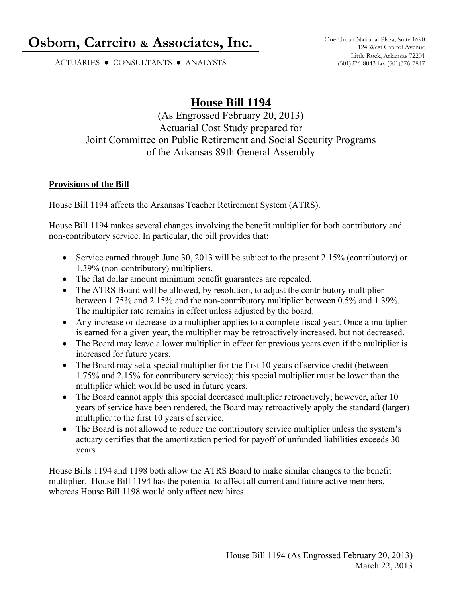# **Osborn, Carreiro & Associates, Inc.** One Union National Plaza, Suite 1690

ACTUARIES ● CONSULTANTS ● ANALYSTS

## **House Bill 1194**

(As Engrossed February 20, 2013) Actuarial Cost Study prepared for Joint Committee on Public Retirement and Social Security Programs of the Arkansas 89th General Assembly

#### **Provisions of the Bill**

House Bill 1194 affects the Arkansas Teacher Retirement System (ATRS).

House Bill 1194 makes several changes involving the benefit multiplier for both contributory and non-contributory service. In particular, the bill provides that:

- Service earned through June 30, 2013 will be subject to the present 2.15% (contributory) or 1.39% (non-contributory) multipliers.
- The flat dollar amount minimum benefit guarantees are repealed.
- The ATRS Board will be allowed, by resolution, to adjust the contributory multiplier between 1.75% and 2.15% and the non-contributory multiplier between 0.5% and 1.39%. The multiplier rate remains in effect unless adjusted by the board.
- Any increase or decrease to a multiplier applies to a complete fiscal year. Once a multiplier is earned for a given year, the multiplier may be retroactively increased, but not decreased.
- The Board may leave a lower multiplier in effect for previous years even if the multiplier is increased for future years.
- The Board may set a special multiplier for the first 10 years of service credit (between 1.75% and 2.15% for contributory service); this special multiplier must be lower than the multiplier which would be used in future years.
- The Board cannot apply this special decreased multiplier retroactively; however, after 10 years of service have been rendered, the Board may retroactively apply the standard (larger) multiplier to the first 10 years of service.
- The Board is not allowed to reduce the contributory service multiplier unless the system's actuary certifies that the amortization period for payoff of unfunded liabilities exceeds 30 years.

House Bills 1194 and 1198 both allow the ATRS Board to make similar changes to the benefit multiplier. House Bill 1194 has the potential to affect all current and future active members, whereas House Bill 1198 would only affect new hires.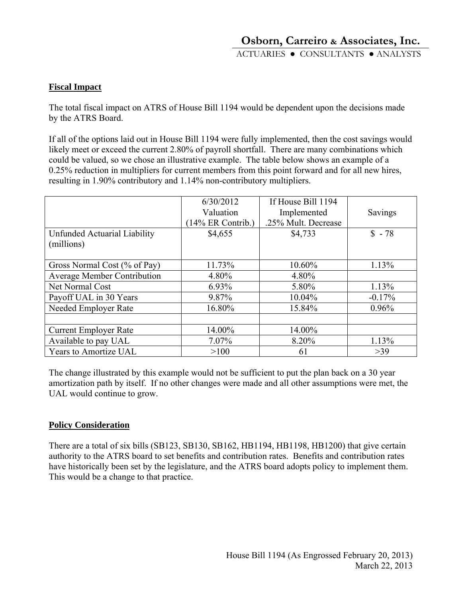#### **Fiscal Impact**

The total fiscal impact on ATRS of House Bill 1194 would be dependent upon the decisions made by the ATRS Board.

If all of the options laid out in House Bill 1194 were fully implemented, then the cost savings would likely meet or exceed the current 2.80% of payroll shortfall. There are many combinations which could be valued, so we chose an illustrative example. The table below shows an example of a 0.25% reduction in multipliers for current members from this point forward and for all new hires, resulting in 1.90% contributory and 1.14% non-contributory multipliers.

|                                            | 6/30/2012<br>Valuation<br>$(14\%$ ER Contrib.) | If House Bill 1194<br>Implemented<br>.25% Mult. Decrease | Savings  |
|--------------------------------------------|------------------------------------------------|----------------------------------------------------------|----------|
| Unfunded Actuarial Liability<br>(millions) | \$4,655                                        | \$4,733                                                  | $$ -78$  |
| Gross Normal Cost (% of Pay)               | 11.73%                                         | 10.60%                                                   | 1.13%    |
| <b>Average Member Contribution</b>         | 4.80%                                          | 4.80%                                                    |          |
| Net Normal Cost                            | $6.93\%$                                       | 5.80%                                                    | 1.13%    |
| Payoff UAL in 30 Years                     | 9.87%                                          | 10.04%                                                   | $-0.17%$ |
| Needed Employer Rate                       | 16.80%                                         | 15.84%                                                   | 0.96%    |
|                                            |                                                |                                                          |          |
| <b>Current Employer Rate</b>               | 14.00%                                         | 14.00%                                                   |          |
| Available to pay UAL                       | 7.07%                                          | 8.20%                                                    | 1.13%    |
| Years to Amortize UAL                      | >100                                           | 61                                                       | >39      |

The change illustrated by this example would not be sufficient to put the plan back on a 30 year amortization path by itself. If no other changes were made and all other assumptions were met, the UAL would continue to grow.

#### **Policy Consideration**

There are a total of six bills (SB123, SB130, SB162, HB1194, HB1198, HB1200) that give certain authority to the ATRS board to set benefits and contribution rates. Benefits and contribution rates have historically been set by the legislature, and the ATRS board adopts policy to implement them. This would be a change to that practice.